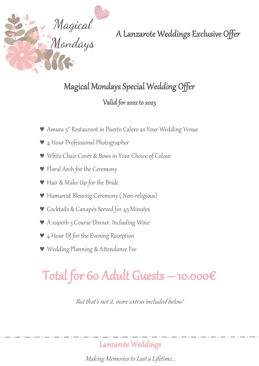

# Magical Mondays Special Wedding Offer

### Valid for 2022 to 2023

- Amura 5\* Restaurant in Puerto Calero as Your Wedding Venue
- 4 Hour Professional Photographer
- White Chair Cover & Bows in Your Choice of Colour
- Floral Arch for the Ceremony
- Hair & Make Up for the Bride
- Humanist Blessing Ceremony ( Non-religious)
- Cocktails & Canapés Served for 45 Minutes
- A superb 3 Course Dinner. Including Wine
- **▼** 4 Hour DJ for the Evening Reception
- Wedding Planning & Attendance Fee

# Total for 60 Adult Guests – 10.000 $\epsilon$

But that's not it, more extras included below!

Lanzarote Weddings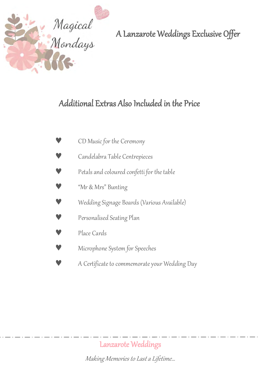

# Additional Extras Also Included in the Price

| CD Music for the Ceremony                     |
|-----------------------------------------------|
| Candelabra Table Centrepieces                 |
| Petals and coloured confetti for the table    |
| "Mr & Mrs" Bunting                            |
| Wedding Signage Boards (Various Available)    |
| Personalised Seating Plan                     |
| Place Cards                                   |
| Microphone System for Speeches                |
| A Certificate to commemorate your Wedding Day |

Lanzarote Weddings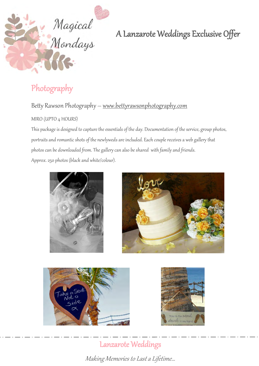

# Photography

### Betty Rawson Photography – [www.bettyrawsonphotography.com](http://www.bettyrawsonphotography.com/)

#### MIRO (UPTO 4 HOURS)

This package is designed to capture the essentials of the day. Documentation of the service, group photos, portraits and romantic shots of the newlyweds are included. Each couple receives a web gallery that photos can be downloaded from. The gallery can also be shared with family and friends. Approx. 250 photos (black and white/colour).



Lanzarote Weddings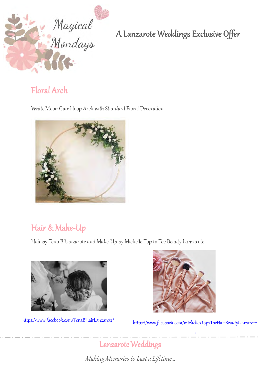

### Floral Arch

White Moon Gate Hoop Arch with Standard Floral Decoration



# Hair & Make-Up

Hair by Tena B Lanzarote and Make-Up by Michelle Top to Toe Beauty Lanzarote





<https://www.facebook.com/TenaBHairLanzarote/> [https://www.facebook.com/michellesTop2ToeHairBeautyLanzarote](https://www.facebook.com/michellesTop2ToeHairBeautyLanzarote/)

/

Lanzarote [Weddings](https://www.facebook.com/michellesTop2ToeHairBeautyLanzarote/)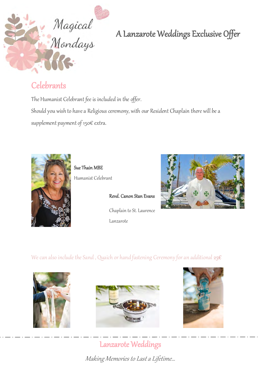

# **Celebrants**

The Humanist Celebrant fee is included in the offer. Should you wish to have a Religious ceremony, with our Resident Chaplain there will be a supplement payment of 150€ extra.



Sue Thain MBE

Humanist Celebrant

 $\circ$ Revd. Canon Stan Evans Chaplain to St. Laurence Lanzarote



We can also include the Sand, Quaich or hand fastening Ceremony for an additional  $25 \epsilon$ 







# Lanzarote Weddings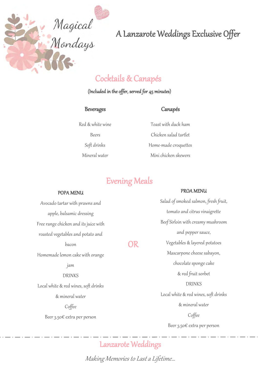

## Cocktails & Canapés

#### (Included in the offer, served for 45 minutes)

#### Beverages

#### Canapés

Red & white wine Beers Soft drinks Mineral water

Toast with duck ham Chicken salad tartlet Home-made croquettes Mini chicken skewers

### Evening Meals

j

OR

#### POPA MENU

Avocado tartar with prawns and apple, balsamic dressing Free range chicken and its juice with roasted vegetables and potato and bacon Homemade lemon cake with orange jam DRINKS Local white & red wines, soft drinks & mineral water

Coffee

Beer 3.50€ extra per person

PROA MENU Salad of smoked salmon, fresh fruit, tomato and citrus vinaigrette Beef Sirloin with creamy mushroom

and pepper sauce, Vegetables & layered potatoes Mascarpone cheese sabayon, chocolate sponge cake & red fruit sorbet DRINKS Local white & red wines, soft drinks & mineral water Coffee Beer 3.50€ extra per person

Price per person: 55€ (include local

### Lanzarote Weddings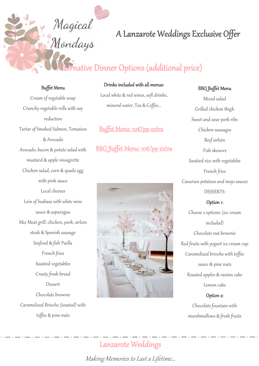# native Dinner Options (additional price)

#### Buffet Menu

Magical<br>Mondays

Cream of vegetable soup Crunchy vegetable rolls with soy reduction Tartar of Smoked Salmon, Tomatoes & Avocado Avocado, bacon & potato salad with mustard & apple vinaigrette Chicken salad, corn & quails egg with pink sauce Local cheeses Loin of Seabass with white wine sauce & asparagus Mix Meat grill: chicken, pork, sirloin steak & Spanish sausage Seafood & fish Paella French fries Sautéed vegetables Crusty fresh bread Dessert Chocolate brownie Caramelized Brioche (toasted) with toffee & pine nuts

#### Drinks included with all menus:

 $\overline{c}$ Local white & red wines, soft drinks, mineral water, Tea & Coffee…

#### Buffet Menu: 10€/pp extra

#### BBQ Buffet Menu: 10€/pp extra



#### BBQ Buffet Menu

Mixed salad Grilled chicken thigh Sweet and sour pork ribs Chicken sausages Beef sirloin Fish skewers Sautéed rice with vegetables French fries Canarian potatoes and mojo sauces DESSERTS: Option 1: Choose 2 options: (ice cream included) Chocolate nut brownie Red fruits with yogurt ice cream cup Caramelized brioche with toffee sauce & pine nuts Roasted apples & raisins cake Lemon cake

#### Option 2:

Chocolate fountain with marshmallows & fresh fruits

### Lanzarote Weddings